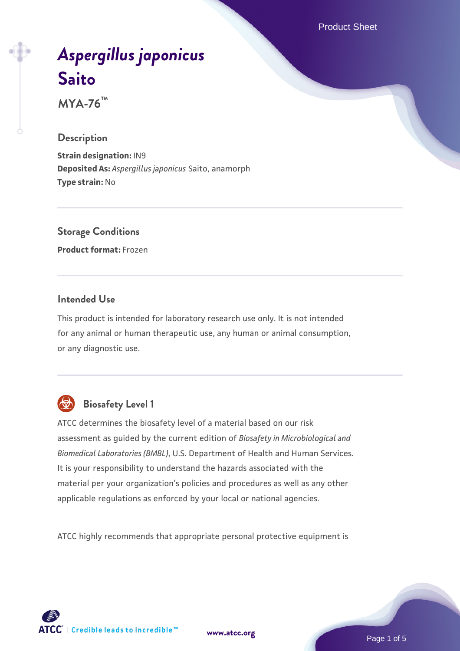Product Sheet

# *[Aspergillus japonicus](https://www.atcc.org/products/mya-76)* **[Saito](https://www.atcc.org/products/mya-76)**

**MYA-76™**

#### **Description**

**Strain designation:** IN9 **Deposited As:** *Aspergillus japonicus* Saito, anamorph **Type strain:** No

### **Storage Conditions**

**Product format:** Frozen

#### **Intended Use**

This product is intended for laboratory research use only. It is not intended for any animal or human therapeutic use, any human or animal consumption, or any diagnostic use.



### **Biosafety Level 1**

ATCC determines the biosafety level of a material based on our risk assessment as guided by the current edition of *Biosafety in Microbiological and Biomedical Laboratories (BMBL)*, U.S. Department of Health and Human Services. It is your responsibility to understand the hazards associated with the material per your organization's policies and procedures as well as any other applicable regulations as enforced by your local or national agencies.

ATCC highly recommends that appropriate personal protective equipment is

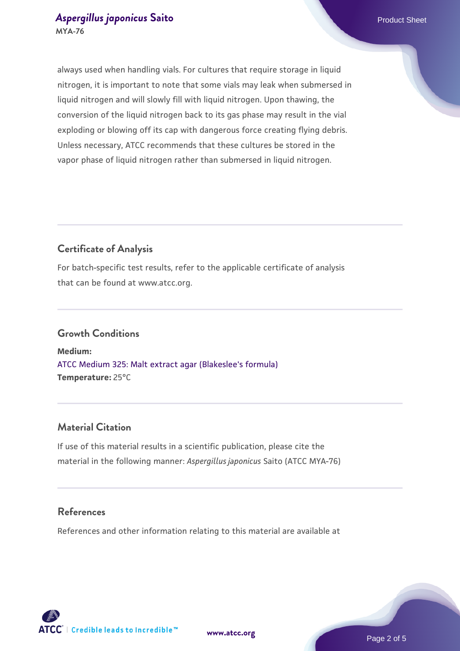#### **[Aspergillus japonicus](https://www.atcc.org/products/mya-76) [Saito](https://www.atcc.org/products/mya-76)** Product Sheet **MYA-76**

always used when handling vials. For cultures that require storage in liquid nitrogen, it is important to note that some vials may leak when submersed in liquid nitrogen and will slowly fill with liquid nitrogen. Upon thawing, the conversion of the liquid nitrogen back to its gas phase may result in the vial exploding or blowing off its cap with dangerous force creating flying debris. Unless necessary, ATCC recommends that these cultures be stored in the vapor phase of liquid nitrogen rather than submersed in liquid nitrogen.

#### **Certificate of Analysis**

For batch-specific test results, refer to the applicable certificate of analysis that can be found at www.atcc.org.

#### **Growth Conditions**

**Medium:**  [ATCC Medium 325: Malt extract agar \(Blakeslee's formula\)](https://www.atcc.org/-/media/product-assets/documents/microbial-media-formulations/3/2/5/atcc-medium-325.pdf?rev=146ec77015184a96912232dcb12386f9) **Temperature:** 25°C

#### **Material Citation**

If use of this material results in a scientific publication, please cite the material in the following manner: *Aspergillus japonicus* Saito (ATCC MYA-76)

#### **References**

References and other information relating to this material are available at

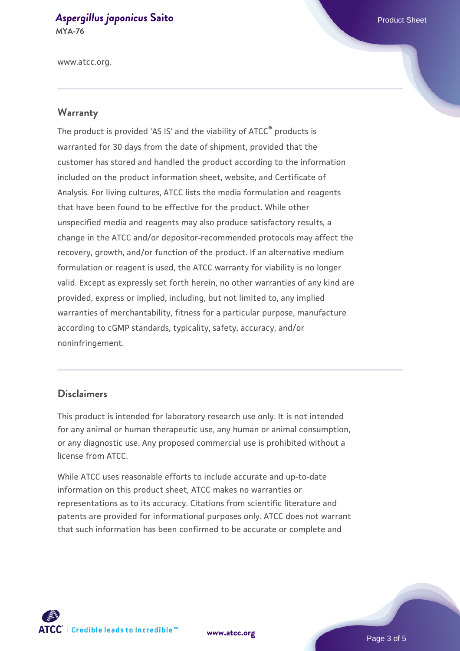## **[Aspergillus japonicus](https://www.atcc.org/products/mya-76) [Saito](https://www.atcc.org/products/mya-76)** Product Sheet

**MYA-76**

www.atcc.org.

#### **Warranty**

The product is provided 'AS IS' and the viability of ATCC® products is warranted for 30 days from the date of shipment, provided that the customer has stored and handled the product according to the information included on the product information sheet, website, and Certificate of Analysis. For living cultures, ATCC lists the media formulation and reagents that have been found to be effective for the product. While other unspecified media and reagents may also produce satisfactory results, a change in the ATCC and/or depositor-recommended protocols may affect the recovery, growth, and/or function of the product. If an alternative medium formulation or reagent is used, the ATCC warranty for viability is no longer valid. Except as expressly set forth herein, no other warranties of any kind are provided, express or implied, including, but not limited to, any implied warranties of merchantability, fitness for a particular purpose, manufacture according to cGMP standards, typicality, safety, accuracy, and/or noninfringement.

#### **Disclaimers**

This product is intended for laboratory research use only. It is not intended for any animal or human therapeutic use, any human or animal consumption, or any diagnostic use. Any proposed commercial use is prohibited without a license from ATCC.

While ATCC uses reasonable efforts to include accurate and up-to-date information on this product sheet, ATCC makes no warranties or representations as to its accuracy. Citations from scientific literature and patents are provided for informational purposes only. ATCC does not warrant that such information has been confirmed to be accurate or complete and



**[www.atcc.org](http://www.atcc.org)**

Page 3 of 5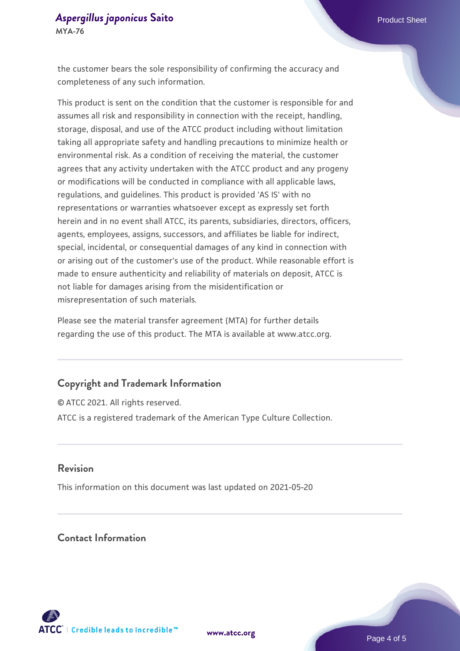#### **[Aspergillus japonicus](https://www.atcc.org/products/mya-76) [Saito](https://www.atcc.org/products/mya-76)** Product Sheet **MYA-76**

the customer bears the sole responsibility of confirming the accuracy and completeness of any such information.

This product is sent on the condition that the customer is responsible for and assumes all risk and responsibility in connection with the receipt, handling, storage, disposal, and use of the ATCC product including without limitation taking all appropriate safety and handling precautions to minimize health or environmental risk. As a condition of receiving the material, the customer agrees that any activity undertaken with the ATCC product and any progeny or modifications will be conducted in compliance with all applicable laws, regulations, and guidelines. This product is provided 'AS IS' with no representations or warranties whatsoever except as expressly set forth herein and in no event shall ATCC, its parents, subsidiaries, directors, officers, agents, employees, assigns, successors, and affiliates be liable for indirect, special, incidental, or consequential damages of any kind in connection with or arising out of the customer's use of the product. While reasonable effort is made to ensure authenticity and reliability of materials on deposit, ATCC is not liable for damages arising from the misidentification or misrepresentation of such materials.

Please see the material transfer agreement (MTA) for further details regarding the use of this product. The MTA is available at www.atcc.org.

#### **Copyright and Trademark Information**

© ATCC 2021. All rights reserved. ATCC is a registered trademark of the American Type Culture Collection.

#### **Revision**

This information on this document was last updated on 2021-05-20

#### **Contact Information**



**[www.atcc.org](http://www.atcc.org)**